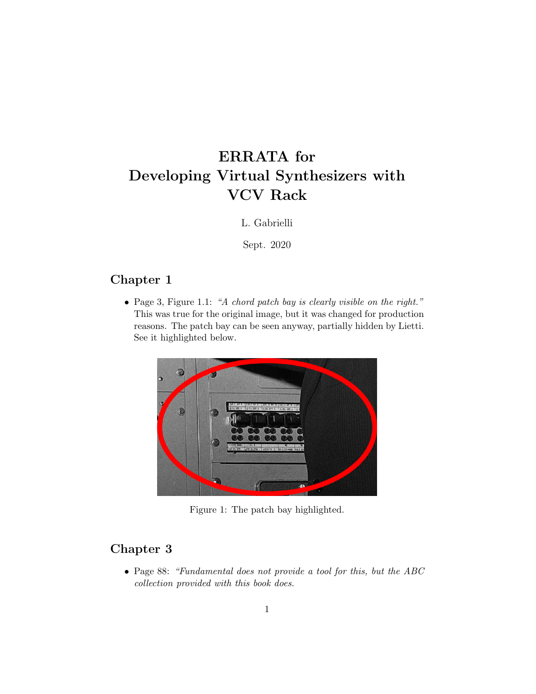# ERRATA for Developing Virtual Synthesizers with VCV Rack

L. Gabrielli

Sept. 2020

### Chapter 1

• Page 3, Figure 1.1: "A chord patch bay is clearly visible on the right." This was true for the original image, but it was changed for production reasons. The patch bay can be seen anyway, partially hidden by Lietti. See it highlighted below.



Figure 1: The patch bay highlighted.

## Chapter 3

• Page 88: "Fundamental does not provide a tool for this, but the ABC collection provided with this book does.